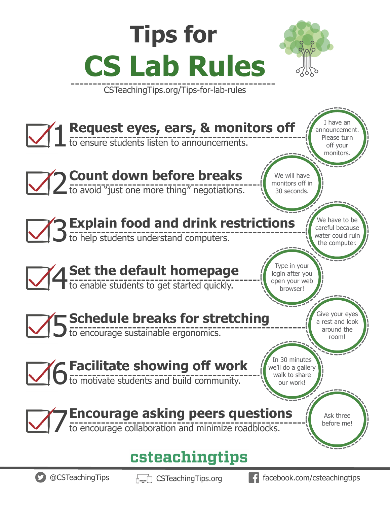# CSTeachingTips.org/Tips-for-lab-rules **CS Lab Rules Tips for**



**2 Count down before breaks**<br>Let avoid "just one more thing" negotiations. **1 Request eyes, ears, & monitors off** to ensure students listen to announcements. **4 Set the default homepage**<br>to enable students to get started quickly. **3 Explain food and drink restrictions**<br>3 to help students understand computers. **6 Facilitate showing off work**<br>**6** to motivate students and build community. **5 Schedule breaks for stre**<br>5 to encourage sustainable ergonomics. 7 **Count down before breaks** to ensure students listen to announcements. **Set the default homepage** to help students understand computers. **Facilitate showing off work Schedule breaks for stretching**  to encourage collaboration and minimize roadblocks. **Encourage asking peers questions** I have an announcement. Please turn off your monitors. Ask three before me! We have to be careful because water could ruin the computer. Give your eyes a rest and look around the room! In 30 minutes we'll do a gallery walk to share our work! We will have monitors off in 30 seconds. Type in your login after you open your web browser!

## csteachingtips